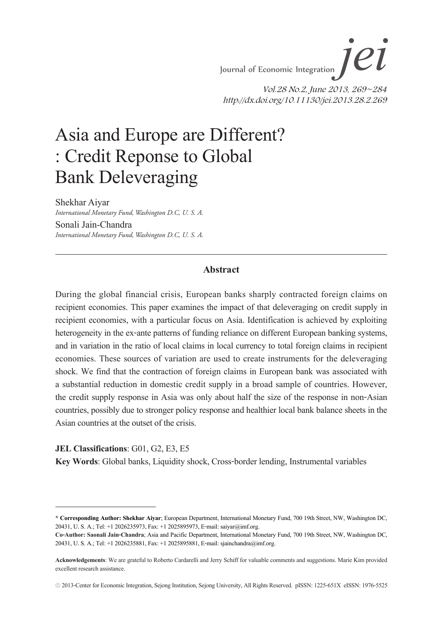*jei* Asia and Europe are Different?: Credit Reponse to Global Bank Deleveraging Journal of Economic Integration *Jei* Vol.28 No.2, June 2013, 269~284 http://dx.doi.org/10.11130/jei.2013.28.2.269

# Asia and Europe are Different? : Credit Reponse to Global Bank Deleveraging

Shekhar Aiyar *International Monetary Fund, Washington D.C, U. S. A.* Sonali Jain-Chandra *International Monetary Fund, Washington D.C, U. S. A.*

## **Abstract**

During the global financial crisis, European banks sharply contracted foreign claims on recipient economies. This paper examines the impact of that deleveraging on credit supply in recipient economies, with a particular focus on Asia. Identification is achieved by exploiting heterogeneity in the ex-ante patterns of funding reliance on different European banking systems, and in variation in the ratio of local claims in local currency to total foreign claims in recipient economies. These sources of variation are used to create instruments for the deleveraging shock. We find that the contraction of foreign claims in European bank was associated with a substantial reduction in domestic credit supply in a broad sample of countries. However, the credit supply response in Asia was only about half the size of the response in non-Asian countries, possibly due to stronger policy response and healthier local bank balance sheets in the Asian countries at the outset of the crisis.

**JEL Classifications**: G01, G2, E3, E5

**Key Words**: Global banks, Liquidity shock, Cross-border lending, Instrumental variables

<sup>\*</sup> **Corresponding Author: Shekhar Aiyar**; European Department, International Monetary Fund, 700 19th Street, NW, Washington DC, 20431, U. S. A.; Tel: +1 2026235973, Fax: +1 2025895973, E-mail: saiyar@imf.org.

**Co-Author: Saonali Jain-Chandra**; Asia and Pacific Department, International Monetary Fund, 700 19th Street, NW, Washington DC, 20431, U. S. A.; Tel: +1 2026235881, Fax: +1 2025895881, E-mail: sjainchandra@imf.org.

**Acknowledgements**: We are grateful to Roberto Cardarelli and Jerry Schiff for valuable comments and suggestions. Marie Kim provided excellent research assistance.

<sup>ⓒ</sup> 2013-Center for Economic Integration, Sejong Institution, Sejong University, All Rights Reserved. pISSN: 1225-651X eISSN: 1976-5525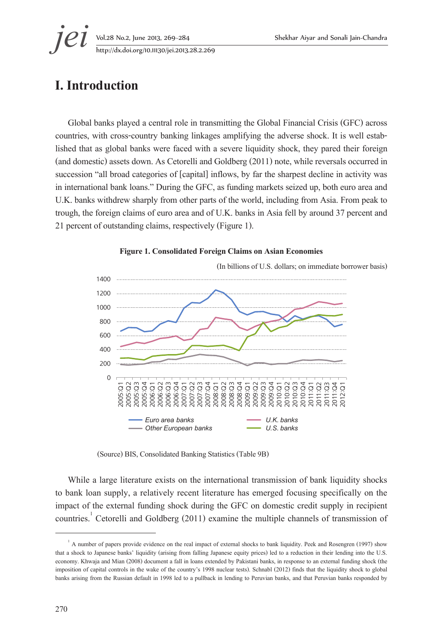# **I. Introduction**

Global banks played a central role in transmitting the Global Financial Crisis (GFC) across countries, with cross-country banking linkages amplifying the adverse shock. It is well estab- lished that as global banks were faced with a severe liquidity shock, they pared their foreign (and domestic) assets down. As Cetorelli and Goldberg (2011) note, while reversals occurred in succession "all broad categories of [capital] inflows, by far the sharpest decline in activity was in international bank loans." During the GFC, as funding markets seized up, both euro area and U.K. banks withdrew sharply from other parts of the world, including from Asia. From peak to trough, the foreign claims of euro area and of U.K. banks in Asia fell by around 37 percent and 21 percent of outstanding claims, respectively (Figure 1).



#### **Figure 1. Consolidated Foreign Claims on Asian Economies**

(Source) BIS, Consolidated Banking Statistics (Table 9B)

While a large literature exists on the international transmission of bank liquidity shocks to bank loan supply, a relatively recent literature has emerged focusing specifically on the impact of the external funding shock during the GFC on domestic credit supply in recipient countries.<sup>1</sup> Cetorelli and Goldberg (2011) examine the multiple channels of transmission of

 $1$  A number of papers provide evidence on the real impact of external shocks to bank liquidity. Peek and Rosengren (1997) show that a shock to Japanese banks' liquidity (arising from falling Japanese equity prices) led to a reduction in their lending into the U.S. economy. Khwaja and Mian (2008) document a fall in loans extended by Pakistani banks, in response to an external funding shock (the imposition of capital controls in the wake of the country's 1998 nuclear tests). Schnabl (2012) finds that the liquidity shock to global banks arising from the Russian default in 1998 led to a pullback in lending to Peruvian banks, and that Peruvian banks responded by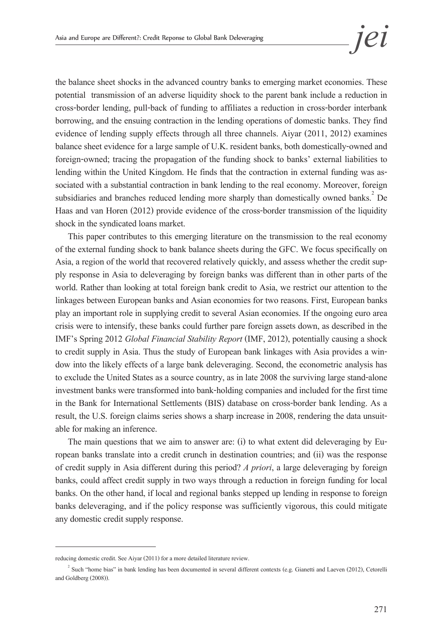the balance sheet shocks in the advanced country banks to emerging market economies. These potential transmission of an adverse liquidity shock to the parent bank include a reduction in cross-border lending, pull-back of funding to affiliates a reduction in cross-border interbank borrowing, and the ensuing contraction in the lending operations of domestic banks. They find evidence of lending supply effects through all three channels. Aiyar (2011, 2012) examines balance sheet evidence for a large sample of U.K. resident banks, both domestically-owned and foreign-owned; tracing the propagation of the funding shock to banks' external liabilities to lending within the United Kingdom. He finds that the contraction in external funding was as- sociated with a substantial contraction in bank lending to the real economy. Moreover, foreign subsidiaries and branches reduced lending more sharply than domestically owned banks. $^{2}$  De Haas and van Horen (2012) provide evidence of the cross-border transmission of the liquidity shock in the syndicated loans market.

This paper contributes to this emerging literature on the transmission to the real economy of the external funding shock to bank balance sheets during the GFC. We focus specifically on Asia, a region of the world that recovered relatively quickly, and assess whether the credit sup-<br>ply response in Asia to deleveraging by foreign banks was different than in other parts of the world. Rather than looking at total foreign bank credit to Asia, we restrict our attention to the linkages between European banks and Asian economies for two reasons. First, European banks play an important role in supplying credit to several Asian economies. If the ongoing euro area crisis were to intensify, these banks could further pare foreign assets down, as described in the IMF's Spring 2012 *Global Financial Stability Report* (IMF, 2012), potentially causing a shock to credit supply in Asia. Thus the study of European bank linkages with Asia provides a win- dow into the likely effects of a large bank deleveraging. Second, the econometric analysis has to exclude the United States as a source country, as in late 2008 the surviving large stand-alone investment banks were transformed into bank-holding companies and included for the first time in the Bank for International Settlements (BIS) database on cross-border bank lending. As a result, the U.S. foreign claims series shows a sharp increase in 2008, rendering the data unsuit-<br>able for making an inference.

The main questions that we aim to answer are: (i) to what extent did deleveraging by European banks translate into a credit crunch in destination countries; and (ii) was the response of credit supply in Asia different during this period? *A priori*, a large deleveraging by foreign banks, could affect credit supply in two ways through a reduction in foreign funding for local banks. On the other hand, if local and regional banks stepped up lending in response to foreign banks deleveraging, and if the policy response was sufficiently vigorous, this could mitigate any domestic credit supply response.

reducing domestic credit. See Aiyar (2011) for a more detailed literature review.

<sup>&</sup>lt;sup>2</sup> Such "home bias" in bank lending has been documented in several different contexts (e.g. Gianetti and Laeven (2012), Cetorelli and Goldberg (2008)).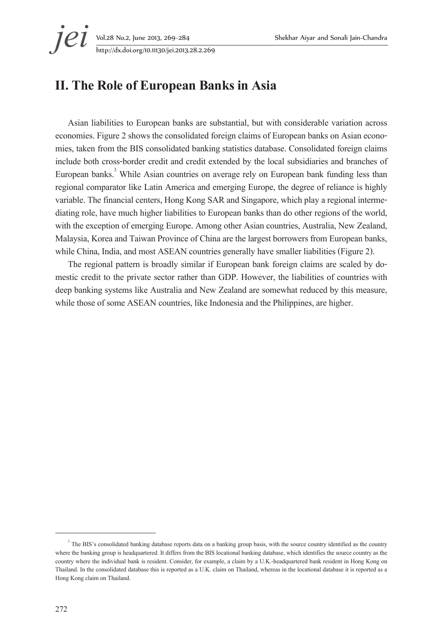## **II. The Role of European Banks in Asia**

Asian liabilities to European banks are substantial, but with considerable variation across economies. Figure 2 shows the consolidated foreign claims of European banks on Asian econo- mies, taken from the BIS consolidated banking statistics database. Consolidated foreign claims include both cross-border credit and credit extended by the local subsidiaries and branches of European banks.<sup>3</sup> While Asian countries on average rely on European bank funding less than regional comparator like Latin America and emerging Europe, the degree of reliance is highly variable. The financial centers, Hong Kong SAR and Singapore, which play a regional interme- diating role, have much higher liabilities to European banks than do other regions of the world, with the exception of emerging Europe. Among other Asian countries, Australia, New Zealand, Malaysia, Korea and Taiwan Province of China are the largest borrowers from European banks, while China, India, and most ASEAN countries generally have smaller liabilities (Figure 2).

The regional pattern is broadly similar if European bank foreign claims are scaled by do-<br>mestic credit to the private sector rather than GDP. However, the liabilities of countries with deep banking systems like Australia and New Zealand are somewhat reduced by this measure, while those of some ASEAN countries, like Indonesia and the Philippines, are higher.

<sup>&</sup>lt;sup>3</sup> The BIS's consolidated banking database reports data on a banking group basis, with the source country identified as the country where the banking group is headquartered. It differs from the BIS locational banking database, which identifies the source country as the country where the individual bank is resident. Consider, for example, a claim by a U.K.-headquartered bank resident in Hong Kong on Thailand. In the consolidated database this is reported as a U.K. claim on Thailand, whereas in the locational database it is reported as a Hong Kong claim on Thailand.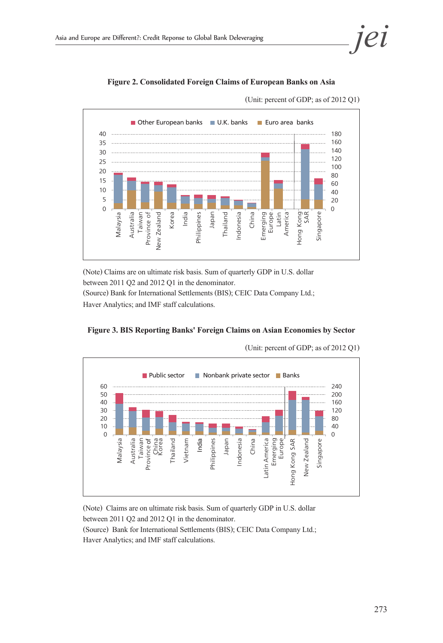



**Figure 2. Consolidated Foreign Claims of European Banks on Asia**

(Note) Claims are on ultimate risk basis. Sum of quarterly GDP in U.S. dollar between 2011 Q2 and 2012 Q1 in the denominator.

(Source) Bank for International Settlements (BIS); CEIC Data Company Ltd.;

Haver Analytics; and IMF staff calculations.



(Note) Claims are on ultimate risk basis. Sum of quarterly GDP in U.S. dollar between 2011 Q2 and 2012 Q1 in the denominator.

(Source) Bank for International Settlements (BIS); CEIC Data Company Ltd.; Haver Analytics; and IMF staff calculations.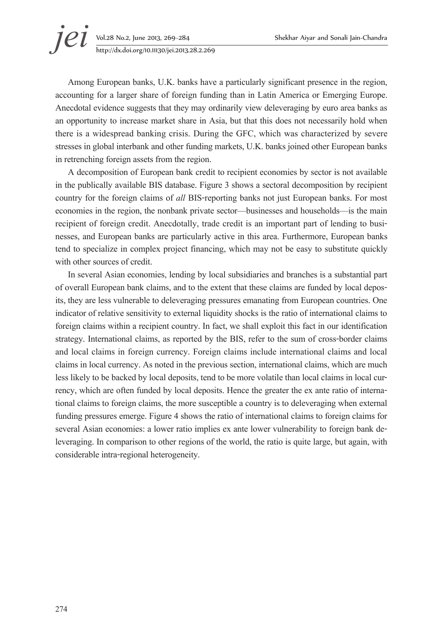Among European banks, U.K. banks have a particularly significant presence in the region, accounting for a larger share of foreign funding than in Latin America or Emerging Europe. Anecdotal evidence suggests that they may ordinarily view deleveraging by euro area banks as an opportunity to increase market share in Asia, but that this does not necessarily hold when there is a widespread banking crisis. During the GFC, which was characterized by severe stresses in global interbank and other funding markets, U.K. banks joined other European banks in retrenching foreign assets from the region.

A decomposition of European bank credit to recipient economies by sector is not available in the publically available BIS database. Figure 3 shows a sectoral decomposition by recipient country for the foreign claims of *all* BIS-reporting banks not just European banks. For most economies in the region, the nonbank private sector—businesses and households—is the main recipient of foreign credit. Anecdotally, trade credit is an important part of lending to busi- nesses, and European banks are particularly active in this area. Furthermore, European banks tend to specialize in complex project financing, which may not be easy to substitute quickly with other sources of credit.

In several Asian economies, lending by local subsidiaries and branches is a substantial part of overall European bank claims, and to the extent that these claims are funded by local depos- its, they are less vulnerable to deleveraging pressures emanating from European countries. One indicator of relative sensitivity to external liquidity shocks is the ratio of international claims to foreign claims within a recipient country. In fact, we shall exploit this fact in our identification strategy. International claims, as reported by the BIS, refer to the sum of cross-border claims and local claims in foreign currency. Foreign claims include international claims and local claims in local currency. As noted in the previous section, international claims, which are much less likely to be backed by local deposits, tend to be more volatile than local claims in local currency, which are often funded by local deposits. Hence the greater the ex ante ratio of international claims to foreign cla funding pressures emerge. Figure 4 shows the ratio of international claims to foreign claims for several Asian economies: a lower ratio implies ex ante lower vulnerability to foreign bank de-<br>leveraging. In comparison to other regions of the world, the ratio is quite large, but again, with considerable intra-regional heterogeneity.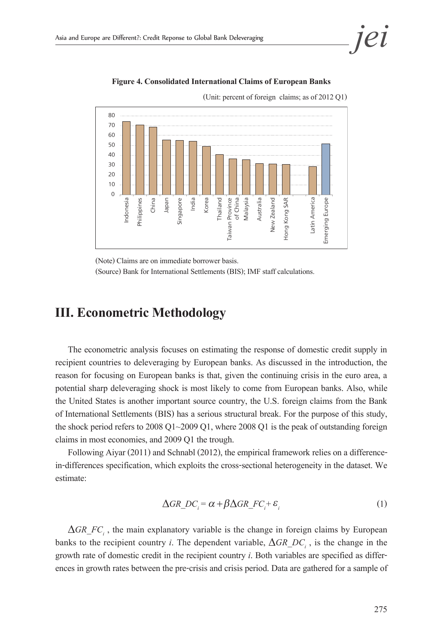



**Figure 4. Consolidated International Claims of European Banks**

(Note) Claims are on immediate borrower basis.

(Source) Bank for International Settlements (BIS); IMF staff calculations.

## **III. Econometric Methodology**

The econometric analysis focuses on estimating the response of domestic credit supply in recipient countries to deleveraging by European banks. As discussed in the introduction, the reason for focusing on European banks is that, given the continuing crisis in the euro area, a potential sharp deleveraging shock is most likely to come from European banks. Also, while the United States is another important source country, the U.S. foreign claims from the Bank of International Settlements (BIS) has a serious structural break. For the purpose of this study, the shock period refers to 2008 Q1 $\sim$ 2009 Q1, where 2008 Q1 is the peak of outstanding foreign claims in most economies, and 2009 Q1 the trough.

Following Aiyar (2011) and Schnabl (2012), the empirical framework relies on a differencein-differences specification, which exploits the cross-sectional heterogeneity in the dataset. We estimate:

$$
\Delta GR\_DC_i = \alpha + \beta \Delta GR\_FC_i + \varepsilon_i
$$
 (1)

∆*GR\_FC<sub>i</sub>*, the main explanatory variable is the change in foreign claims by European banks to the recipient country *i*. The dependent variable,  $\Delta$ *GR\_DC<sub>i</sub>*, is the change in the growth rate of domestic credit in the recipient country *i*. Both variables are specified as differ- ences in growth rates between the pre-crisis and crisis period. Data are gathered for a sample of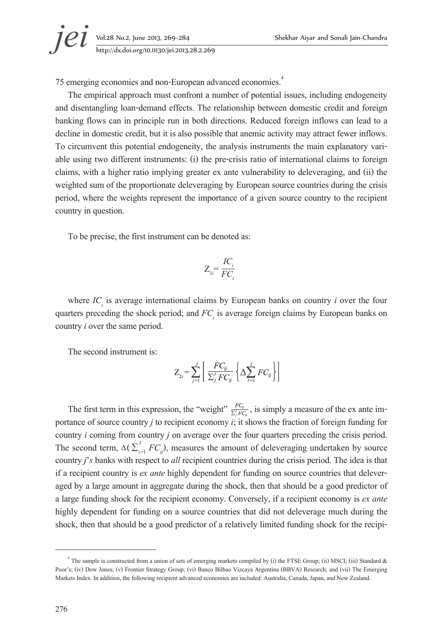75 emerging economies and non-European advanced economies.<sup>4</sup>

The empirical approach must confront a number of potential issues, including endogeneity and disentangling loan-demand effects. The relationship between domestic credit and foreign banking flows can in principle run in both directions. Reduced foreign inflows can lead to a decline in domestic credit, but it is also possible that anemic activity may attract fewer inflows. To circumvent this potential endogeneity, the analysis instruments the main explanatory vari- able using two different instruments: (i) the pre-crisis ratio of international claims to foreign claims, with a higher ratio implying greater ex ante vulnerability to deleveraging, and (ii) the weighted sum of the proportionate deleveraging by European source countries during the crisis period, where the weights represent the importance of a given source country to the recipient country in question.

To be precise, the first instrument can be denoted as:

$$
Z_{1i} = \frac{I C_i}{F C_i}
$$

where  $IC<sub>i</sub>$  is average international claims by European banks on country *i* over the four quarters preceding the shock period; and  $FC<sub>i</sub>$  is average foreign claims by European banks on country *i* over the same period.

The second instrument is:

$$
Z_{2i} = \sum_{j=1}^{J} \left[ \frac{FC_{ij}}{\sum_{j}^{J}FC_{ij}} \left\{ \Delta \sum_{t=1}^{I} FC_{ij} \right\} \right]
$$

The first term in this expression, the "weight"  $\frac{FC_y}{\sum_j FC_y}$ , is simply a measure of the ex ante im-<br>portance of source country *j* to recipient economy *i*; it shows the fraction of foreign funding for country *i* coming from country *j* on average over the four quarters preceding the crisis period. The second term,  $\Delta(\sum_{i=1}^{I}FC_{ij})$ , measures the amount of deleveraging undertaken by source country *j*'*s* banks with respect to *all* recipient countries during the crisis period. The idea is that if a recipient country is *ex ante* highly dependent for funding on source countries that delever-<br>aged by a large amount in aggregate during the shock, then that should be a good predictor of a large funding shock for the recipient economy. Conversely, if a recipient economy is *ex ante* highly dependent for funding on a source countries that did not deleverage much during the shock, then that should be a good predictor of a relatively limited funding shock for the recipi-

<sup>&</sup>lt;sup>4</sup> The sample is constructed from a union of sets of emerging markets compiled by (i) the FTSE Group; (ii) MSCI; (iii) Standard  $\&$ Poor's; (iv) Dow Jones; (v) Frontier Strategy Group; (vi) Banco Bilbao Vizcaya Argentina (BBVA) Research; and (vii) The Emerging Markets Index. In addition, the following recipient advanced economies are included: Australia, Canada, Japan, and New Zealand.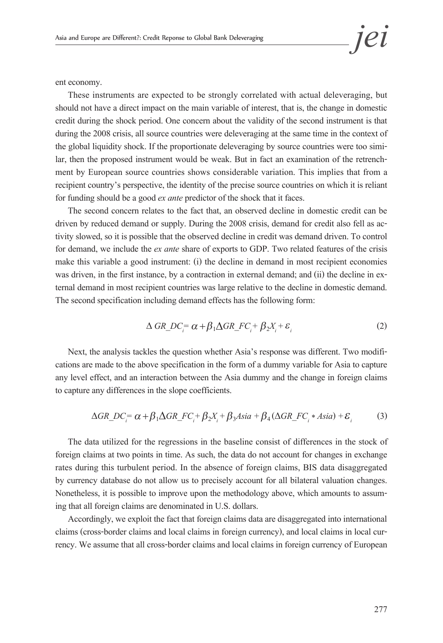ent economy.

These instruments are expected to be strongly correlated with actual deleveraging, but should not have a direct impact on the main variable of interest, that is, the change in domestic credit during the shock period. One concern about the validity of the second instrument is that during the 2008 crisis, all source countries were deleveraging at the same time in the context of the global liquidity shock. If the proportionate deleveraging by source countries were too similar, then the proposed instrument would be weak. But in fact an examination of the retrenchment by European source countries sh recipient country's perspective, the identity of the precise source countries on which it is reliant for funding should be a good *ex ante* predictor of the shock that it faces.

The second concern relates to the fact that, an observed decline in domestic credit can be driven by reduced demand or supply. During the 2008 crisis, demand for credit also fell as ac- tivity slowed, so it is possible that the observed decline in credit was demand driven. To control for demand, we include the *ex ante* share of exports to GDP. Two related features of the crisis make this variable a good instrument: (i) the decline in demand in most recipient economies was driven, in the first instance, by a contraction in external demand; and (ii) the decline in ex- ternal demand in most recipient countries was large relative to the decline in domestic demand. The second specification including demand effects has the following form:

$$
\Delta \, GR\_DC_i = \alpha + \beta_1 \Delta \, GR\_FC_i + \beta_2 X_i + \varepsilon_i \tag{2}
$$

Next, the analysis tackles the question whether Asia's response was different. Two modifi- cations are made to the above specification in the form of a dummy variable for Asia to capture any level effect, and an interaction between the Asia dummy and the change in foreign claims to capture any differences in the slope coefficients.

$$
\Delta GR\_DC_i = \alpha + \beta_1 \Delta GR\_FC_i + \beta_2 X_i + \beta_3 Asia + \beta_4 (\Delta GR\_FC_i * Asia) + \varepsilon_i
$$
 (3)

The data utilized for the regressions in the baseline consist of differences in the stock of foreign claims at two points in time. As such, the data do not account for changes in exchange rates during this turbulent period. In the absence of foreign claims, BIS data disaggregated by currency database do not allow us to precisely account for all bilateral valuation changes. Nonetheless, it is possible to improve upon the methodology above, which amounts to assum- ing that all foreign claims are denominated in U.S. dollars.

Accordingly, we exploit the fact that foreign claims data are disaggregated into international claims (cross-border claims and local claims in foreign currency), and local claims in local cur- rency. We assume that all cross-border claims and local claims in foreign currency of European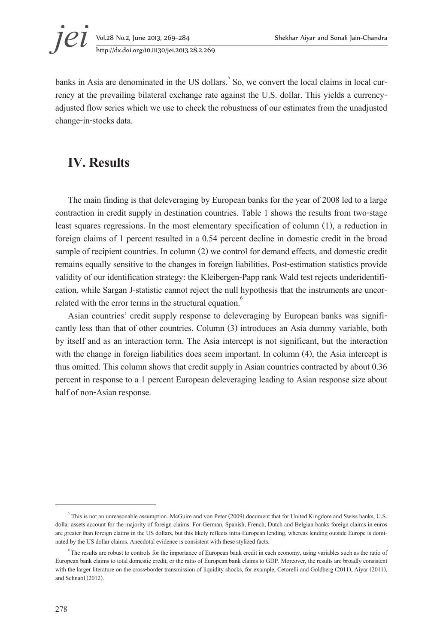

banks in Asia are denominated in the US dollars.<sup>5</sup> So, we convert the local claims in local currency at the prevailing bilateral exchange rate against the U.S. dollar. This yields a currencyadjusted flow series which we use to check the robustness of our estimates from the unadjusted change-in-stocks data.

## **IV. Results**

The main finding is that deleveraging by European banks for the year of 2008 led to a large contraction in credit supply in destination countries. Table 1 shows the results from two-stage least squares regressions. In the most elementary specification of column (1), a reduction in foreign claims of 1 percent resulted in a 0.54 percent decline in domestic credit in the broad sample of recipient countries. In column (2) we control for demand effects, and domestic credit remains equally sensitive to the changes in foreign liabilities. Post-estimation statistics provide validity of our identification strategy: the Kleibergen-Papp rank Wald test rejects underidentification, while Sargan J-statistic cannot reject the null hypothesis that the instruments are uncorrelated with the error terms

Asian countries' credit supply response to deleveraging by European banks was significantly less than that of other countries. Column (3) introduces an Asia dummy variable, both by itself and as an interaction term. The Asia intercept is not significant, but the interaction with the change in foreign liabilities does seem important. In column (4), the Asia intercept is thus omitted. This column shows that credit supply in Asian countries contracted by about 0.36 percent in response to a 1 percent European deleveraging leading to Asian response size about half of non-Asian response.

<sup>&</sup>lt;sup>5</sup> This is not an unreasonable assumption. McGuire and von Peter (2009) document that for United Kingdom and Swiss banks, U.S. dollar assets account for the majority of foreign claims. For German, Spanish, French, Dutch and Belgian banks foreign claims in euros are greater than foreign claims in the US dollars, but this likely reflects intra-European lending, whereas lending outside Europe is dominated by the US dollar claims. Anecdotal evidence is consistent with these stylized

<sup>&</sup>lt;sup>6</sup> The results are robust to controls for the importance of European bank credit in each economy, using variables such as the ratio of European bank claims to total domestic credit, or the ratio of European bank claims to GDP. Moreover, the results are broadly consistent with the larger literature on the cross-border transmission of liquidity shocks, for example, Cetorelli and Goldberg (2011), Aiyar (2011), and Schnabl (2012).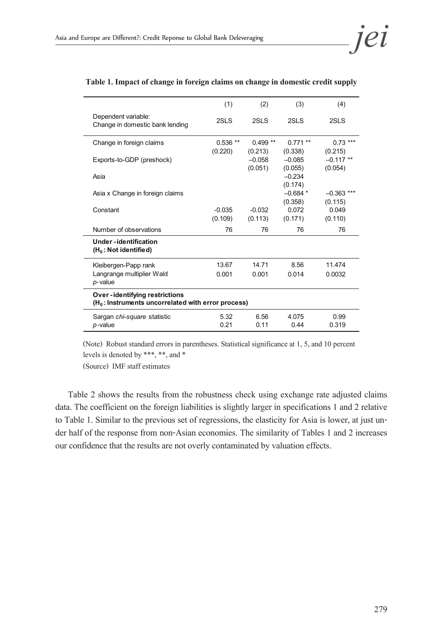|                                                                                              | (1)                 | (2)                            | (3)                            | (4)                               |
|----------------------------------------------------------------------------------------------|---------------------|--------------------------------|--------------------------------|-----------------------------------|
| Dependent variable:<br>Change in domestic bank lending                                       | 2SLS                | 2SLS                           | 2SLS                           | 2SLS                              |
| Change in foreign claims                                                                     | $0.536**$           | $0.499**$                      | $0.771**$                      | $0.73***$                         |
| Exports-to-GDP (preshock)                                                                    | (0.220)             | (0.213)<br>$-0.058$<br>(0.051) | (0.338)<br>$-0.085$<br>(0.055) | (0.215)<br>$-0.117$ **<br>(0.054) |
| Asia                                                                                         |                     |                                | $-0.234$<br>(0.174)            |                                   |
| Asia x Change in foreign claims                                                              |                     |                                | $-0.684*$<br>(0.358)           | $-0.363$ ***<br>(0.115)           |
| Constant                                                                                     | $-0.035$<br>(0.109) | $-0.032$<br>(0.113)            | 0.072<br>(0.171)               | 0.049<br>(0.110)                  |
| Number of observations                                                                       | 76                  | 76                             | 76                             | 76                                |
| Under-identification<br>$(H_0: Not identified)$                                              |                     |                                |                                |                                   |
| Kleibergen-Papp rank                                                                         | 13.67               | 14 71                          | 8.56                           | 11 474                            |
| Langrange multiplier Wald<br>$p$ -value                                                      | 0.001               | 0.001                          | 0.014                          | 0.0032                            |
| <b>Over-identifying restrictions</b><br>$(H_0:$ Instruments uncorrelated with error process) |                     |                                |                                |                                   |
| Sargan chi-square statistic<br>p-value                                                       | 5.32<br>0.21        | 6.56<br>0.11                   | 4.075<br>0.44                  | 0.99<br>0.319                     |

### **Table 1. Impact of change in foreign claims on change in domestic credit supply**

(Note) Robust standard errors in parentheses. Statistical significance at 1, 5, and 10 percent levels is denoted by \*\*\*, \*\*, and \*

(Source) IMF staff estimates

Table 2 shows the results from the robustness check using exchange rate adjusted claims data. The coefficient on the foreign liabilities is slightly larger in specifications 1 and 2 relative to Table 1. Similar to the previous set of regressions, the elasticity for Asia is lower, at just un- der half of the response from non-Asian economies. The similarity of Tables 1 and 2 increases our confidence that the results are not overly contaminated by valuation effects.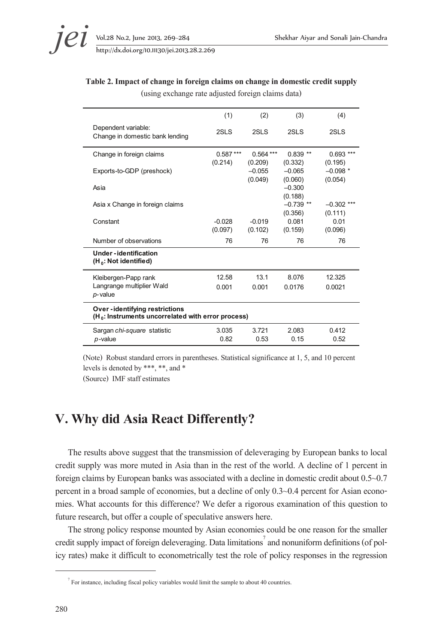

|  |  |  | Table 2. Impact of change in foreign claims on change in domestic credit supply |  |
|--|--|--|---------------------------------------------------------------------------------|--|
|  |  |  |                                                                                 |  |

|                                                                                              | (1)                 | (2)                            | (3)                            | (4)                             |  |  |  |  |  |
|----------------------------------------------------------------------------------------------|---------------------|--------------------------------|--------------------------------|---------------------------------|--|--|--|--|--|
| Dependent variable:<br>Change in domestic bank lending                                       | 2SLS                | 2SLS                           | 2SLS                           | 2SLS                            |  |  |  |  |  |
| Change in foreign claims                                                                     | $0.587***$          | $0.564***$                     | $0.839**$                      | $0.693***$                      |  |  |  |  |  |
| Exports-to-GDP (preshock)                                                                    | (0.214)             | (0.209)<br>$-0.055$<br>(0.049) | (0.332)<br>$-0.065$<br>(0.060) | (0.195)<br>$-0.098*$<br>(0.054) |  |  |  |  |  |
| Asia                                                                                         |                     |                                | $-0.300$<br>(0.188)            |                                 |  |  |  |  |  |
| Asia x Change in foreign claims                                                              |                     |                                | $-0.739$ **<br>(0.356)         | $-0.302$ ***<br>(0.111)         |  |  |  |  |  |
| Constant                                                                                     | $-0.028$<br>(0.097) | $-0.019$<br>(0.102)            | 0.081<br>(0.159)               | 0.01<br>(0.096)                 |  |  |  |  |  |
| Number of observations                                                                       | 76                  | 76                             | 76                             | 76                              |  |  |  |  |  |
| Under-identification<br>$(H_0: Not identified)$                                              |                     |                                |                                |                                 |  |  |  |  |  |
| Kleibergen-Papp rank                                                                         | 12.58               | 131                            | 8.076                          | 12 325                          |  |  |  |  |  |
| Langrange multiplier Wald<br>$p$ -value                                                      | 0.001               | 0.001                          | 00176                          | 0.0021                          |  |  |  |  |  |
| <b>Over-identifying restrictions</b><br>$(H_0:$ Instruments uncorrelated with error process) |                     |                                |                                |                                 |  |  |  |  |  |
| Sargan chi-square statistic<br>$p$ -value                                                    | 3.035<br>0.82       | 3721<br>0.53                   | 2.083<br>0.15                  | 0412<br>0.52                    |  |  |  |  |  |

(using exchange rate adjusted foreign claims data)

(Note) Robust standard errors in parentheses. Statistical significance at 1, 5, and 10 percent levels is denoted by \*\*\*, \*\*, and \*

(Source) IMF staff estimates

## **V. Why did Asia React Differently?**

The results above suggest that the transmission of deleveraging by European banks to local credit supply was more muted in Asia than in the rest of the world. A decline of 1 percent in foreign claims by European banks was associated with a decline in domestic credit about 0.5~0.7 percent in a broad sample of economies, but a decline of only 0.3~0.4 percent for Asian econo- mies. What accounts for this difference? We defer a rigorous examination of this question to future research, but offer a couple of speculative answers here.

The strong policy response mounted by Asian economies could be one reason for the smaller credit supply impact of foreign deleveraging. Data limitations<sup>7</sup> and nonuniform definitions (of policy rates) make it difficult to econometrically test the role of policy responses in the regression

 $7$  For instance, including fiscal policy variables would limit the sample to about 40 countries.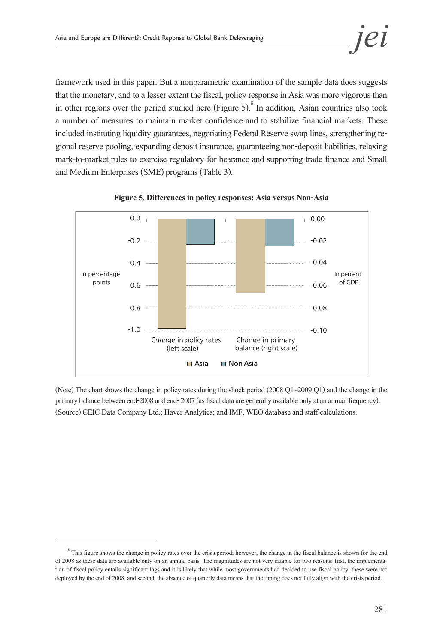

framework used in this paper. But a nonparametric examination of the sample data does suggests that the monetary, and to a lesser extent the fiscal, policy response in Asia was more vigorous than in other regions over the period studied here  $(Figure 5)$ .<sup>8</sup> In addition, Asian countries also took a number of measures to maintain market confidence and to stabilize financial markets. These included instituting liquidity guarantees, negotiating Federal Reserve swap lines, strengthening re- gional reserve pooling, expanding deposit insurance, guaranteeing non-deposit liabilities, relaxing mark-to-market rules to exercise regulatory for bearance and supporting trade finance and Small and Medium Enterprises (SME) programs (Table3).





(Note) The chart shows the change in policy rates during the shock period (2008 Q1~2009 Q1) and the change in the primary balance between end-2008 and end- 2007 (as fiscal data are generally available only at an annual frequency). (Source) CEIC Data Company Ltd.; Haver Analytics; and IMF, WEO database and staff calculations.

 $\delta$  This figure shows the change in policy rates over the crisis period; however, the change in the fiscal balance is shown for the end of 2008 as these data are available only on an annual basis. The magnitudes are not very sizable for two reasons: first, the implementa-<br>tion of fiscal policy entails significant lags and it is likely that while most gover deployed by the end of 2008, and second, the absence of quarterly data means that the timing does not fully align with the crisis period.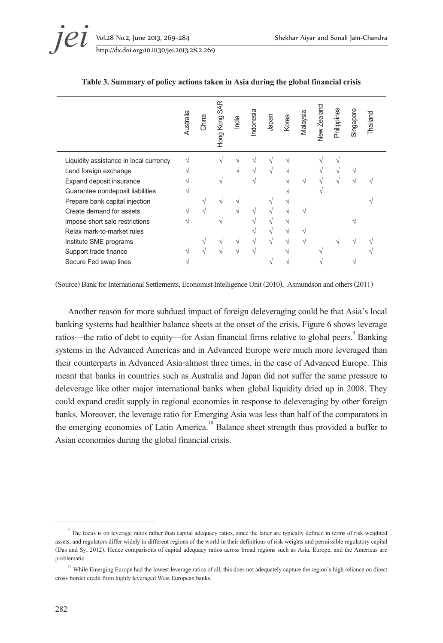

|                                        | Australia | China | Hong Kong SAF | India | Indonesia | Japan      | Korea | Malaysia | New Zealand | Philippines | Singapore | Thailand |
|----------------------------------------|-----------|-------|---------------|-------|-----------|------------|-------|----------|-------------|-------------|-----------|----------|
| Liquidity assistance in local currency |           |       |               |       |           |            |       |          |             |             |           |          |
| Lend foreign exchange                  |           |       |               |       |           | N          |       |          |             |             |           |          |
| Expand deposit insurance               |           |       |               |       |           |            |       | V        |             |             |           |          |
| Guarantee nondeposit liabilities       | N         |       |               |       |           |            |       |          |             |             |           |          |
| Prepare bank capital injection         |           |       |               |       |           |            |       |          |             |             |           |          |
| Create demand for assets               |           |       |               |       |           | $\sqrt{ }$ | V     |          |             |             |           |          |
| Impose short sale restrictions         |           |       |               |       |           | V          | V     |          |             |             |           |          |
| Relax mark-to-market rules             |           |       |               |       |           | V          | V     |          |             |             |           |          |
| Institute SME programs                 |           |       |               |       |           | V          | N     |          |             |             |           |          |
| Support trade finance                  |           |       |               |       |           |            |       |          |             |             |           |          |
| Secure Fed swap lines                  |           |       |               |       |           |            |       |          |             |             |           |          |

#### **Table 3. Summary of policy actions taken in Asia during the global financial crisis**

(Source) Bank for International Settlements, Economist Intelligence Unit (2010), Asmundson and others (2011)

Another reason for more subdued impact of foreign deleveraging could be that Asia's local banking systems had healthier balance sheets at the onset of the crisis. Figure 6 shows leverage ratios—the ratio of debt to equity—for Asian financial firms relative to global peers.<sup>9</sup> Banking systems in the Advanced Americas and in Advanced Europe were much more leveraged than their counterparts in Advanced Asia-almost three times, in the case of Advanced Europe. This meant that banks in countries such as Australia and Japan did not suffer the same pressure to deleverage like other major international banks when global liquidity dried up in 2008. They could expand credit supply in regional economies in response to deleveraging by other foreign banks. Moreover, the leverage ratio for Emerging Asia was less than half of the comparators in the emerging economies of Latin America.<sup>10</sup> Balance sheet strength thus provided a buffer to Asian economies during the global financial crisis.

<sup>&</sup>lt;sup>9</sup> The focus is on leverage ratios rather than capital adequacy ratios, since the latter are typically defined in terms of risk-weighted assets, and regulators differ widely in different regions of the world in their definitions of risk weights and permissible regulatory capital (Das and Sy, 2012). Hence comparisons of capital adequacy ratios across broad regions such as Asia, Europe, and the Americas are problematic.

<sup>&</sup>lt;sup>10</sup> While Emerging Europe had the lowest leverage ratios of all, this does not adequately capture the region's high reliance on direct cross-border credit from highly leveraged West European banks.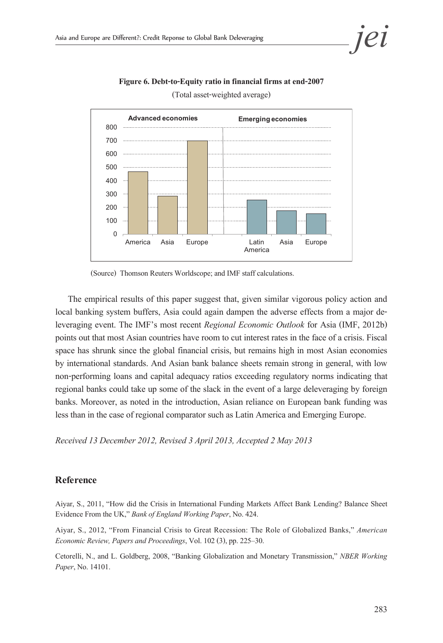

**Figure 6. Debt-to-Equity ratio in financial firms at end-2007** (Total asset-weighted average)

(Source) Thomson Reuters Worldscope; and IMF staff calculations.

The empirical results of this paper suggest that, given similar vigorous policy action and local banking system buffers, Asia could again dampen the adverse effects from a major de- leveraging event. The IMF's most recent *Regional Economic Outlook* for Asia (IMF, 2012b) points out that most Asian countries have room to cut interest rates in the face of a crisis. Fiscal space has shrunk since the global financial crisis, but remains high in most Asian economies by international standards. And Asian bank balance sheets remain strong in general, with low non-performing loans and capital adequacy ratios exceeding regulatory norms indicating that regional banks could take up some of the slack in the event of a large deleveraging by foreign banks. Moreover, as noted in the introduction, Asian reliance on European bank funding was less than in the case of regional comparator such as Latin America and Emerging Europe.

*Received 13 December 2012, Revised 3 April 2013, Accepted 2 May 2013* 

### **Reference**

Aiyar, S., 2011, "How did the Crisis in International Funding Markets Affect Bank Lending? Balance Sheet Evidence From the UK," *Bank of England Working Paper*, No. 424.

Aiyar, S., 2012, "From Financial Crisis to Great Recession: The Role of Globalized Banks," *American Economic Review, Papers and Proceedings*, Vol. 102 (3), pp. 225–30.

Cetorelli, N., and L. Goldberg, 2008, "Banking Globalization and Monetary Transmission," *NBER Working Paper*, No. 14101.